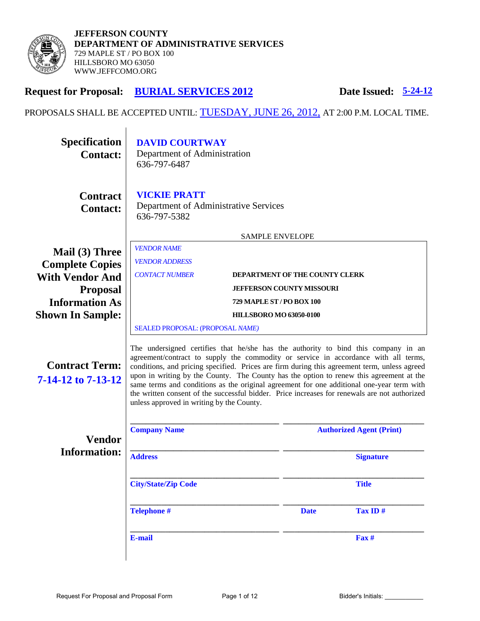

# **Request for Proposal: BURIAL SERVICES 2012 Date Issued: 5-24-12**

PROPOSALS SHALL BE ACCEPTED UNTIL: TUESDAY, JUNE 26, 2012, AT 2:00 P.M. LOCAL TIME.

| <b>Specification</b><br><b>Contact:</b>     | <b>DAVID COURTWAY</b><br>Department of Administration<br>636-797-6487                                                                                                                                                                                                                                                                                                                                                                                                                                                                                                                                           |                                  |                                 |                   |  |
|---------------------------------------------|-----------------------------------------------------------------------------------------------------------------------------------------------------------------------------------------------------------------------------------------------------------------------------------------------------------------------------------------------------------------------------------------------------------------------------------------------------------------------------------------------------------------------------------------------------------------------------------------------------------------|----------------------------------|---------------------------------|-------------------|--|
| <b>Contract</b><br><b>Contact:</b>          | <b>VICKIE PRATT</b><br>Department of Administrative Services<br>636-797-5382                                                                                                                                                                                                                                                                                                                                                                                                                                                                                                                                    |                                  |                                 |                   |  |
|                                             | <b>SAMPLE ENVELOPE</b>                                                                                                                                                                                                                                                                                                                                                                                                                                                                                                                                                                                          |                                  |                                 |                   |  |
| Mail (3) Three<br><b>Complete Copies</b>    | <b>VENDOR NAME</b><br><b>VENDOR ADDRESS</b>                                                                                                                                                                                                                                                                                                                                                                                                                                                                                                                                                                     |                                  |                                 |                   |  |
| <b>With Vendor And</b>                      | <b>CONTACT NUMBER</b>                                                                                                                                                                                                                                                                                                                                                                                                                                                                                                                                                                                           | DEPARTMENT OF THE COUNTY CLERK   |                                 |                   |  |
| <b>Proposal</b>                             | <b>JEFFERSON COUNTY MISSOURI</b>                                                                                                                                                                                                                                                                                                                                                                                                                                                                                                                                                                                |                                  |                                 |                   |  |
| <b>Information As</b>                       |                                                                                                                                                                                                                                                                                                                                                                                                                                                                                                                                                                                                                 | <b>729 MAPLE ST / PO BOX 100</b> |                                 |                   |  |
| <b>Shown In Sample:</b>                     | <b>HILLSBORO MO 63050-0100</b>                                                                                                                                                                                                                                                                                                                                                                                                                                                                                                                                                                                  |                                  |                                 |                   |  |
|                                             | SEALED PROPOSAL: (PROPOSAL NAME)                                                                                                                                                                                                                                                                                                                                                                                                                                                                                                                                                                                |                                  |                                 |                   |  |
| <b>Contract Term:</b><br>7-14-12 to 7-13-12 | The undersigned certifies that he/she has the authority to bind this company in an<br>agreement/contract to supply the commodity or service in accordance with all terms,<br>conditions, and pricing specified. Prices are firm during this agreement term, unless agreed<br>upon in writing by the County. The County has the option to renew this agreement at the<br>same terms and conditions as the original agreement for one additional one-year term with<br>the written consent of the successful bidder. Price increases for renewals are not authorized<br>unless approved in writing by the County. |                                  |                                 |                   |  |
| <b>Vendor</b><br><b>Information:</b>        | <b>Company Name</b>                                                                                                                                                                                                                                                                                                                                                                                                                                                                                                                                                                                             |                                  | <b>Authorized Agent (Print)</b> |                   |  |
|                                             | <b>Address</b>                                                                                                                                                                                                                                                                                                                                                                                                                                                                                                                                                                                                  |                                  |                                 | <b>Signature</b>  |  |
|                                             | <b>City/State/Zip Code</b>                                                                                                                                                                                                                                                                                                                                                                                                                                                                                                                                                                                      |                                  |                                 | <b>Title</b>      |  |
|                                             | <b>Telephone #</b>                                                                                                                                                                                                                                                                                                                                                                                                                                                                                                                                                                                              |                                  | <b>Date</b>                     | Tax ID#           |  |
|                                             | E-mail                                                                                                                                                                                                                                                                                                                                                                                                                                                                                                                                                                                                          |                                  |                                 | $\mathbf{F}$ ax # |  |
|                                             |                                                                                                                                                                                                                                                                                                                                                                                                                                                                                                                                                                                                                 |                                  |                                 |                   |  |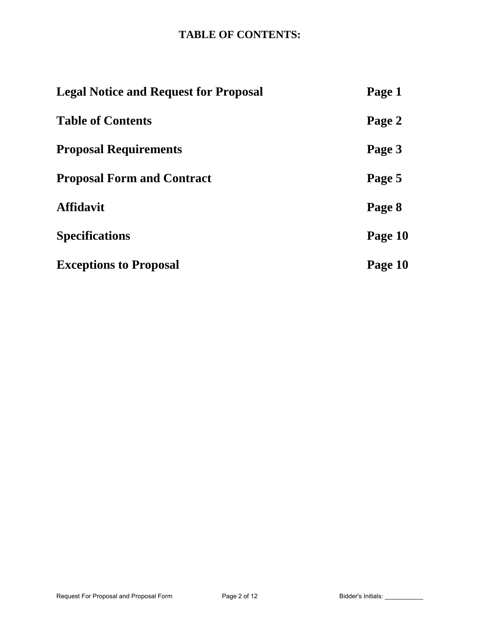# **TABLE OF CONTENTS:**

| <b>Legal Notice and Request for Proposal</b> | Page 1  |
|----------------------------------------------|---------|
| <b>Table of Contents</b>                     | Page 2  |
| <b>Proposal Requirements</b>                 | Page 3  |
| <b>Proposal Form and Contract</b>            | Page 5  |
| <b>Affidavit</b>                             | Page 8  |
| <b>Specifications</b>                        | Page 10 |
| <b>Exceptions to Proposal</b>                | Page 10 |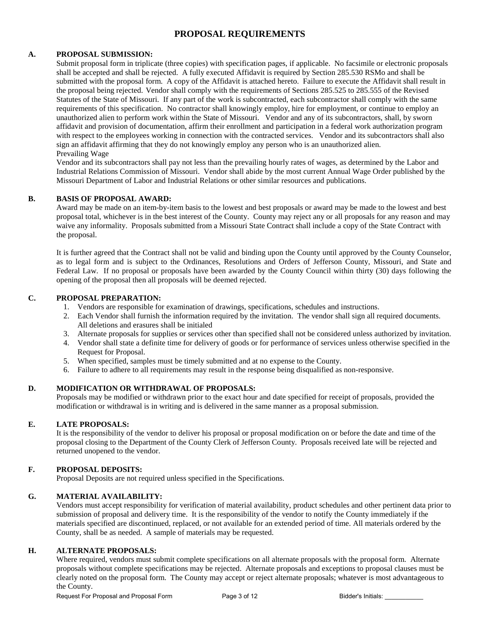## **PROPOSAL REQUIREMENTS**

### **A. PROPOSAL SUBMISSION:**

Submit proposal form in triplicate (three copies) with specification pages, if applicable. No facsimile or electronic proposals shall be accepted and shall be rejected. A fully executed Affidavit is required by Section 285.530 RSMo and shall be submitted with the proposal form. A copy of the Affidavit is attached hereto. Failure to execute the Affidavit shall result in the proposal being rejected. Vendor shall comply with the requirements of Sections 285.525 to 285.555 of the Revised Statutes of the State of Missouri. If any part of the work is subcontracted, each subcontractor shall comply with the same requirements of this specification. No contractor shall knowingly employ, hire for employment, or continue to employ an unauthorized alien to perform work within the State of Missouri. Vendor and any of its subcontractors, shall, by sworn affidavit and provision of documentation, affirm their enrollment and participation in a federal work authorization program with respect to the employees working in connection with the contracted services. Vendor and its subcontractors shall also sign an affidavit affirming that they do not knowingly employ any person who is an unauthorized alien. Prevailing Wage

Vendor and its subcontractors shall pay not less than the prevailing hourly rates of wages, as determined by the Labor and Industrial Relations Commission of Missouri. Vendor shall abide by the most current Annual Wage Order published by the Missouri Department of Labor and Industrial Relations or other similar resources and publications.

#### **B. BASIS OF PROPOSAL AWARD:**

Award may be made on an item-by-item basis to the lowest and best proposals or award may be made to the lowest and best proposal total, whichever is in the best interest of the County. County may reject any or all proposals for any reason and may waive any informality. Proposals submitted from a Missouri State Contract shall include a copy of the State Contract with the proposal.

It is further agreed that the Contract shall not be valid and binding upon the County until approved by the County Counselor, as to legal form and is subject to the Ordinances, Resolutions and Orders of Jefferson County, Missouri, and State and Federal Law. If no proposal or proposals have been awarded by the County Council within thirty (30) days following the opening of the proposal then all proposals will be deemed rejected.

#### **C. PROPOSAL PREPARATION:**

- 1. Vendors are responsible for examination of drawings, specifications, schedules and instructions.
- 2. Each Vendor shall furnish the information required by the invitation. The vendor shall sign all required documents. All deletions and erasures shall be initialed
- 3. Alternate proposals for supplies or services other than specified shall not be considered unless authorized by invitation.
- 4. Vendor shall state a definite time for delivery of goods or for performance of services unless otherwise specified in the Request for Proposal.
- 5. When specified, samples must be timely submitted and at no expense to the County.
- 6. Failure to adhere to all requirements may result in the response being disqualified as non-responsive.

### **D. MODIFICATION OR WITHDRAWAL OF PROPOSALS:**

Proposals may be modified or withdrawn prior to the exact hour and date specified for receipt of proposals, provided the modification or withdrawal is in writing and is delivered in the same manner as a proposal submission.

#### **E. LATE PROPOSALS:**

It is the responsibility of the vendor to deliver his proposal or proposal modification on or before the date and time of the proposal closing to the Department of the County Clerk of Jefferson County. Proposals received late will be rejected and returned unopened to the vendor.

#### **F. PROPOSAL DEPOSITS:**

Proposal Deposits are not required unless specified in the Specifications.

#### **G. MATERIAL AVAILABILITY:**

Vendors must accept responsibility for verification of material availability, product schedules and other pertinent data prior to submission of proposal and delivery time. It is the responsibility of the vendor to notify the County immediately if the materials specified are discontinued, replaced, or not available for an extended period of time. All materials ordered by the County, shall be as needed. A sample of materials may be requested.

#### **H. ALTERNATE PROPOSALS:**

Where required, vendors must submit complete specifications on all alternate proposals with the proposal form. Alternate proposals without complete specifications may be rejected. Alternate proposals and exceptions to proposal clauses must be clearly noted on the proposal form. The County may accept or reject alternate proposals; whatever is most advantageous to the County.

Request For Proposal and Proposal Form Page 3 of 12 Bidder's Initials: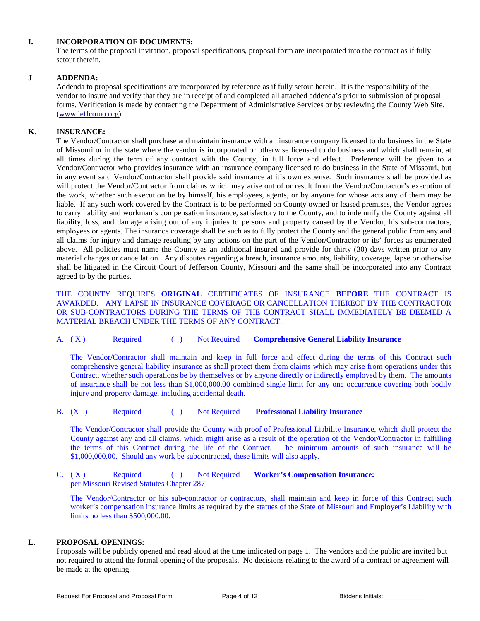#### **I. INCORPORATION OF DOCUMENTS:**

The terms of the proposal invitation, proposal specifications, proposal form are incorporated into the contract as if fully setout therein.

#### **J ADDENDA:**

Addenda to proposal specifications are incorporated by reference as if fully setout herein. It is the responsibility of the vendor to insure and verify that they are in receipt of and completed all attached addenda's prior to submission of proposal forms. Verification is made by contacting the Department of Administrative Services or by reviewing the County Web Site. [\(www.jeffcomo.org\)](http://www.jeffcomo.org/).

### **K**. **INSURANCE:**

 The Vendor/Contractor shall purchase and maintain insurance with an insurance company licensed to do business in the State of Missouri or in the state where the vendor is incorporated or otherwise licensed to do business and which shall remain, at all times during the term of any contract with the County, in full force and effect. Preference will be given to a Vendor/Contractor who provides insurance with an insurance company licensed to do business in the State of Missouri, but in any event said Vendor/Contractor shall provide said insurance at it's own expense. Such insurance shall be provided as will protect the Vendor/Contractor from claims which may arise out of or result from the Vendor/Contractor's execution of the work, whether such execution be by himself, his employees, agents, or by anyone for whose acts any of them may be liable. If any such work covered by the Contract is to be performed on County owned or leased premises, the Vendor agrees to carry liability and workman's compensation insurance, satisfactory to the County, and to indemnify the County against all liability, loss, and damage arising out of any injuries to persons and property caused by the Vendor, his sub-contractors, employees or agents. The insurance coverage shall be such as to fully protect the County and the general public from any and all claims for injury and damage resulting by any actions on the part of the Vendor/Contractor or its' forces as enumerated above. All policies must name the County as an additional insured and provide for thirty (30) days written prior to any material changes or cancellation. Any disputes regarding a breach, insurance amounts, liability, coverage, lapse or otherwise shall be litigated in the Circuit Court of Jefferson County, Missouri and the same shall be incorporated into any Contract agreed to by the parties.

 THE COUNTY REQUIRES **ORIGINAL** CERTIFICATES OF INSURANCE **BEFORE** THE CONTRACT IS AWARDED. ANY LAPSE IN INSURANCE COVERAGE OR CANCELLATION THEREOF BY THE CONTRACTOR OR SUB-CONTRACTORS DURING THE TERMS OF THE CONTRACT SHALL IMMEDIATELY BE DEEMED A MATERIAL BREACH UNDER THE TERMS OF ANY CONTRACT.

A. ( X ) Required ( ) Not Required **Comprehensive General Liability Insurance**

The Vendor/Contractor shall maintain and keep in full force and effect during the terms of this Contract such comprehensive general liability insurance as shall protect them from claims which may arise from operations under this Contract, whether such operations be by themselves or by anyone directly or indirectly employed by them. The amounts of insurance shall be not less than \$1,000,000.00 combined single limit for any one occurrence covering both bodily injury and property damage, including accidental death.

B. (X ) Required ( ) Not Required **Professional Liability Insurance**

The Vendor/Contractor shall provide the County with proof of Professional Liability Insurance, which shall protect the County against any and all claims, which might arise as a result of the operation of the Vendor/Contractor in fulfilling the terms of this Contract during the life of the Contract. The minimum amounts of such insurance will be \$1,000,000.00. Should any work be subcontracted, these limits will also apply.

C. (X) Required ( ) Not Required **Worker's Compensation Insurance:** per Missouri Revised Statutes Chapter 287

The Vendor/Contractor or his sub-contractor or contractors, shall maintain and keep in force of this Contract such worker's compensation insurance limits as required by the statues of the State of Missouri and Employer's Liability with limits no less than \$500,000.00.

#### **L. PROPOSAL OPENINGS:**

Proposals will be publicly opened and read aloud at the time indicated on page 1. The vendors and the public are invited but not required to attend the formal opening of the proposals. No decisions relating to the award of a contract or agreement will be made at the opening.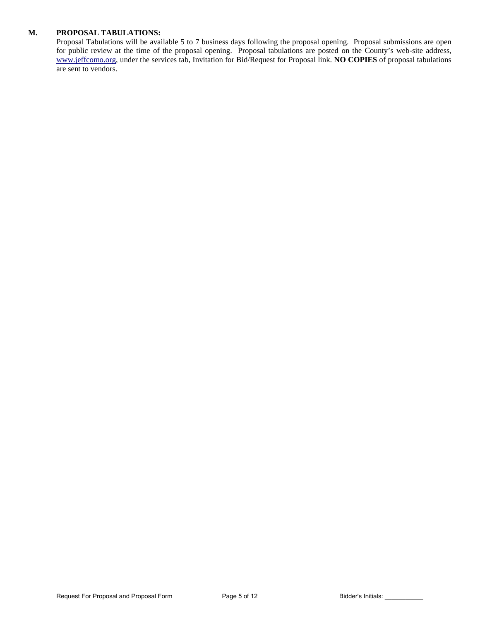#### **M. PROPOSAL TABULATIONS:**

Proposal Tabulations will be available 5 to 7 business days following the proposal opening. Proposal submissions are open for public review at the time of the proposal opening. Proposal tabulations are posted on the County's web-site address, [www.jeffcomo.org,](http://www.jeffcomo.org/) under the services tab, Invitation for Bid/Request for Proposal link. **NO COPIES** of proposal tabulations are sent to vendors.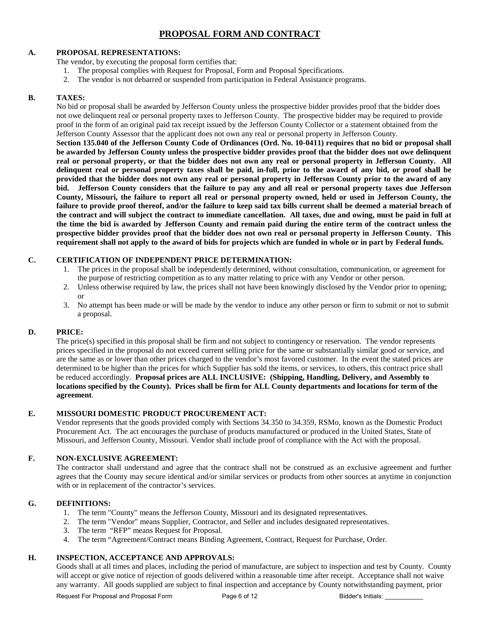## **PROPOSAL FORM AND CONTRACT**

#### **A. PROPOSAL REPRESENTATIONS:**

The vendor, by executing the proposal form certifies that:

- 1. The proposal complies with Request for Proposal, Form and Proposal Specifications.
- 2. The vendor is not debarred or suspended from participation in Federal Assistance programs.

#### **B. TAXES:**

No bid or proposal shall be awarded by Jefferson County unless the prospective bidder provides proof that the bidder does not owe delinquent real or personal property taxes to Jefferson County. The prospective bidder may be required to provide proof in the form of an original paid tax receipt issued by the Jefferson County Collector or a statement obtained from the Jefferson County Assessor that the applicant does not own any real or personal property in Jefferson County.

**Section 135.040 of the Jefferson County Code of Ordinances (Ord. No. 10-0411) requires that no bid or proposal shall be awarded by Jefferson County unless the prospective bidder provides proof that the bidder does not owe delinquent real or personal property, or that the bidder does not own any real or personal property in Jefferson County. All delinquent real or personal property taxes shall be paid, in-full, prior to the award of any bid, or proof shall be provided that the bidder does not own any real or personal property in Jefferson County prior to the award of any bid. Jefferson County considers that the failure to pay any and all real or personal property taxes due Jefferson County, Missouri, the failure to report all real or personal property owned, held or used in Jefferson County, the failure to provide proof thereof, and/or the failure to keep said tax bills current shall be deemed a material breach of the contract and will subject the contract to immediate cancellation. All taxes, due and owing, must be paid in full at the time the bid is awarded by Jefferson County and remain paid during the entire term of the contract unless the prospective bidder provides proof that the bidder does not own real or personal property in Jefferson County. This requirement shall not apply to the award of bids for projects which are funded in whole or in part by Federal funds.**

#### **C. CERTIFICATION OF INDEPENDENT PRICE DETERMINATION:**

- 1. The prices in the proposal shall be independently determined, without consultation, communication, or agreement for the purpose of restricting competition as to any matter relating to price with any Vendor or other person.
- 2. Unless otherwise required by law, the prices shall not have been knowingly disclosed by the Vendor prior to opening; or
- 3. No attempt has been made or will be made by the vendor to induce any other person or firm to submit or not to submit a proposal.

## **D. PRICE:**

The price(s) specified in this proposal shall be firm and not subject to contingency or reservation. The vendor represents prices specified in the proposal do not exceed current selling price for the same or substantially similar good or service, and are the same as or lower than other prices charged to the vendor's most favored customer. In the event the stated prices are determined to be higher than the prices for which Supplier has sold the items, or services, to others, this contract price shall be reduced accordingly. **Proposal prices are ALL INCLUSIVE: (Shipping, Handling, Delivery, and Assembly to locations specified by the County). Prices shall be firm for ALL County departments and locations for term of the agreement**.

#### **E. MISSOURI DOMESTIC PRODUCT PROCUREMENT ACT:**

Vendor represents that the goods provided comply with Sections 34.350 to 34.359, RSMo, known as the Domestic Product Procurement Act. The act encourages the purchase of products manufactured or produced in the United States, State of Missouri, and Jefferson County, Missouri. Vendor shall include proof of compliance with the Act with the proposal.

#### **F. NON-EXCLUSIVE AGREEMENT:**

The contractor shall understand and agree that the contract shall not be construed as an exclusive agreement and further agrees that the County may secure identical and/or similar services or products from other sources at anytime in conjunction with or in replacement of the contractor's services.

#### **G. DEFINITIONS:**

- 1. The term "County" means the Jefferson County, Missouri and its designated representatives.
- 2. The term "Vendor" means Supplier, Contractor, and Seller and includes designated representatives.
- 3. The term "RFP" means Request for Proposal.
- 4. The term "Agreement/Contract means Binding Agreement, Contract, Request for Purchase, Order.

## **H. INSPECTION, ACCEPTANCE AND APPROVALS:**

Goods shall at all times and places, including the period of manufacture, are subject to inspection and test by County. County will accept or give notice of rejection of goods delivered within a reasonable time after receipt. Acceptance shall not waive any warranty. All goods supplied are subject to final inspection and acceptance by County notwithstanding payment, prior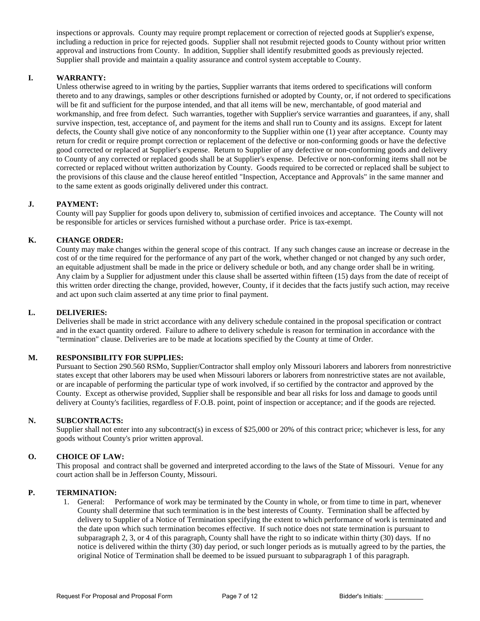inspections or approvals. County may require prompt replacement or correction of rejected goods at Supplier's expense, including a reduction in price for rejected goods. Supplier shall not resubmit rejected goods to County without prior written approval and instructions from County. In addition, Supplier shall identify resubmitted goods as previously rejected. Supplier shall provide and maintain a quality assurance and control system acceptable to County.

### **I. WARRANTY:**

Unless otherwise agreed to in writing by the parties, Supplier warrants that items ordered to specifications will conform thereto and to any drawings, samples or other descriptions furnished or adopted by County, or, if not ordered to specifications will be fit and sufficient for the purpose intended, and that all items will be new, merchantable, of good material and workmanship, and free from defect. Such warranties, together with Supplier's service warranties and guarantees, if any, shall survive inspection, test, acceptance of, and payment for the items and shall run to County and its assigns. Except for latent defects, the County shall give notice of any nonconformity to the Supplier within one (1) year after acceptance. County may return for credit or require prompt correction or replacement of the defective or non-conforming goods or have the defective good corrected or replaced at Supplier's expense. Return to Supplier of any defective or non-conforming goods and delivery to County of any corrected or replaced goods shall be at Supplier's expense. Defective or non-conforming items shall not be corrected or replaced without written authorization by County. Goods required to be corrected or replaced shall be subject to the provisions of this clause and the clause hereof entitled "Inspection, Acceptance and Approvals" in the same manner and to the same extent as goods originally delivered under this contract.

#### **J. PAYMENT:**

County will pay Supplier for goods upon delivery to, submission of certified invoices and acceptance. The County will not be responsible for articles or services furnished without a purchase order. Price is tax-exempt.

#### **K. CHANGE ORDER:**

County may make changes within the general scope of this contract. If any such changes cause an increase or decrease in the cost of or the time required for the performance of any part of the work, whether changed or not changed by any such order, an equitable adjustment shall be made in the price or delivery schedule or both, and any change order shall be in writing. Any claim by a Supplier for adjustment under this clause shall be asserted within fifteen (15) days from the date of receipt of this written order directing the change, provided, however, County, if it decides that the facts justify such action, may receive and act upon such claim asserted at any time prior to final payment.

#### **L. DELIVERIES:**

Deliveries shall be made in strict accordance with any delivery schedule contained in the proposal specification or contract and in the exact quantity ordered. Failure to adhere to delivery schedule is reason for termination in accordance with the "termination" clause. Deliveries are to be made at locations specified by the County at time of Order.

#### **M. RESPONSIBILITY FOR SUPPLIES:**

Pursuant to Section 290.560 RSMo, Supplier/Contractor shall employ only Missouri laborers and laborers from nonrestrictive states except that other laborers may be used when Missouri laborers or laborers from nonrestrictive states are not available, or are incapable of performing the particular type of work involved, if so certified by the contractor and approved by the County. Except as otherwise provided, Supplier shall be responsible and bear all risks for loss and damage to goods until delivery at County's facilities, regardless of F.O.B. point, point of inspection or acceptance; and if the goods are rejected.

#### **N. SUBCONTRACTS:**

Supplier shall not enter into any subcontract(s) in excess of \$25,000 or 20% of this contract price; whichever is less, for any goods without County's prior written approval.

#### **O. CHOICE OF LAW:**

This proposal and contract shall be governed and interpreted according to the laws of the State of Missouri. Venue for any court action shall be in Jefferson County, Missouri.

#### **P. TERMINATION:**

1. General: Performance of work may be terminated by the County in whole, or from time to time in part, whenever County shall determine that such termination is in the best interests of County. Termination shall be affected by delivery to Supplier of a Notice of Termination specifying the extent to which performance of work is terminated and the date upon which such termination becomes effective. If such notice does not state termination is pursuant to subparagraph 2, 3, or 4 of this paragraph, County shall have the right to so indicate within thirty (30) days. If no notice is delivered within the thirty (30) day period, or such longer periods as is mutually agreed to by the parties, the original Notice of Termination shall be deemed to be issued pursuant to subparagraph 1 of this paragraph.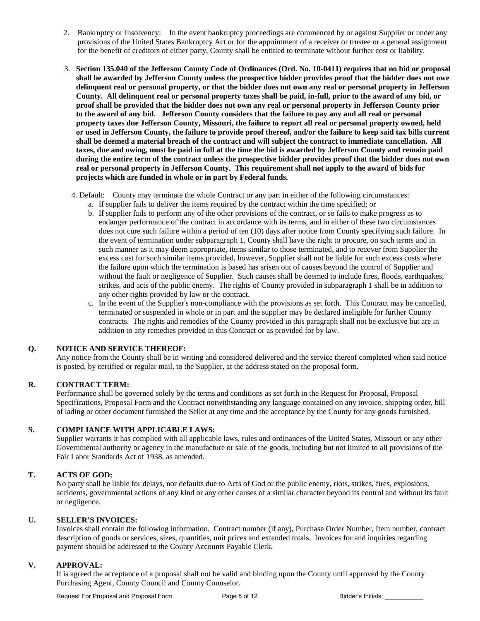- 2. Bankruptcy or Insolvency: In the event bankruptcy proceedings are commenced by or against Supplier or under any provisions of the United States Bankruptcy Act or for the appointment of a receiver or trustee or a general assignment for the benefit of creditors of either party, County shall be entitled to terminate without further cost or liability.
- 3. **Section 135.040 of the Jefferson County Code of Ordinances (Ord. No. 10-0411) requires that no bid or proposal shall be awarded by Jefferson County unless the prospective bidder provides proof that the bidder does not owe delinquent real or personal property, or that the bidder does not own any real or personal property in Jefferson County. All delinquent real or personal property taxes shall be paid, in-full, prior to the award of any bid, or proof shall be provided that the bidder does not own any real or personal property in Jefferson County prior to the award of any bid. Jefferson County considers that the failure to pay any and all real or personal property taxes due Jefferson County, Missouri, the failure to report all real or personal property owned, held or used in Jefferson County, the failure to provide proof thereof, and/or the failure to keep said tax bills current shall be deemed a material breach of the contract and will subject the contract to immediate cancellation. All taxes, due and owing, must be paid in full at the time the bid is awarded by Jefferson County and remain paid during the entire term of the contract unless the prospective bidder provides proof that the bidder does not own real or personal property in Jefferson County. This requirement shall not apply to the award of bids for projects which are funded in whole or in part by Federal funds.**
	- 4. Default: County may terminate the whole Contract or any part in either of the following circumstances: a. If supplier fails to deliver the items required by the contract within the time specified; or
		- b. If supplier fails to perform any of the other provisions of the contract, or so fails to make progress as to endanger performance of the contract in accordance with its terms, and in either of these two circumstances does not cure such failure within a period of ten (10) days after notice from County specifying such failure. In the event of termination under subparagraph 1, County shall have the right to procure, on such terms and in such manner as it may deem appropriate, items similar to those terminated, and to recover from Supplier the excess cost for such similar items provided, however, Supplier shall not be liable for such excess costs where the failure upon which the termination is based has arisen out of causes beyond the control of Supplier and without the fault or negligence of Supplier. Such causes shall be deemed to include fires, floods, earthquakes, strikes, and acts of the public enemy. The rights of County provided in subparagraph 1 shall be in addition to any other rights provided by law or the contract.
		- c. In the event of the Supplier's non-compliance with the provisions as set forth. This Contract may be cancelled, terminated or suspended in whole or in part and the supplier may be declared ineligible for further County contracts. The rights and remedies of the County provided in this paragraph shall not be exclusive but are in addition to any remedies provided in this Contract or as provided for by law.

#### **Q. NOTICE AND SERVICE THEREOF:**

Any notice from the County shall be in writing and considered delivered and the service thereof completed when said notice is posted, by certified or regular mail, to the Supplier, at the address stated on the proposal form.

#### **R. CONTRACT TERM:**

Performance shall be governed solely by the terms and conditions as set forth in the Request for Proposal, Proposal Specifications, Proposal Form and the Contract notwithstanding any language contained on any invoice, shipping order, bill of lading or other document furnished the Seller at any time and the acceptance by the County for any goods furnished.

#### **S. COMPLIANCE WITH APPLICABLE LAWS:**

Supplier warrants it has complied with all applicable laws, rules and ordinances of the United States, Missouri or any other Governmental authority or agency in the manufacture or sale of the goods, including but not limited to all provisions of the Fair Labor Standards Act of 1938, as amended.

## **T. ACTS OF GOD:**

No party shall be liable for delays, nor defaults due to Acts of God or the public enemy, riots, strikes, fires, explosions, accidents, governmental actions of any kind or any other causes of a similar character beyond its control and without its fault or negligence.

#### **U. SELLER'S INVOICES:**

Invoices shall contain the following information. Contract number (if any), Purchase Order Number, Item number, contract description of goods or services, sizes, quantities, unit prices and extended totals. Invoices for and inquiries regarding payment should be addressed to the County Accounts Payable Clerk.

#### **V. APPROVAL:**

It is agreed the acceptance of a proposal shall not be valid and binding upon the County until approved by the County Purchasing Agent, County Council and County Counselor.

Request For Proposal and Proposal Form Page 8 of 12 Bidder's Initials: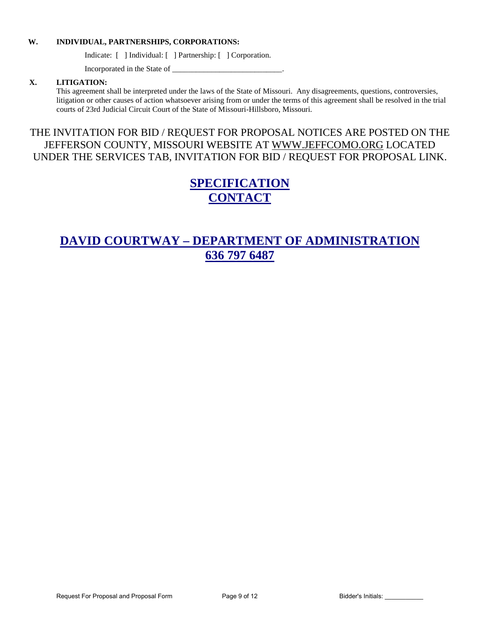#### **W. INDIVIDUAL, PARTNERSHIPS, CORPORATIONS:**

Indicate: [ ] Individual: [ ] Partnership: [ ] Corporation.

Incorporated in the State of \_\_\_\_\_\_\_\_\_\_\_\_\_\_\_\_\_\_\_\_\_\_\_\_\_\_\_\_.

#### **X. LITIGATION:**

This agreement shall be interpreted under the laws of the State of Missouri. Any disagreements, questions, controversies, litigation or other causes of action whatsoever arising from or under the terms of this agreement shall be resolved in the trial courts of 23rd Judicial Circuit Court of the State of Missouri-Hillsboro, Missouri.

# THE INVITATION FOR BID / REQUEST FOR PROPOSAL NOTICES ARE POSTED ON THE JEFFERSON COUNTY, MISSOURI WEBSITE AT [WWW.JEFFCOMO.ORG](http://www.jeffcomo.org/) LOCATED UNDER THE SERVICES TAB, INVITATION FOR BID / REQUEST FOR PROPOSAL LINK.

# **SPECIFICATION CONTACT**

# **DAVID COURTWAY – DEPARTMENT OF ADMINISTRATION 636 797 6487**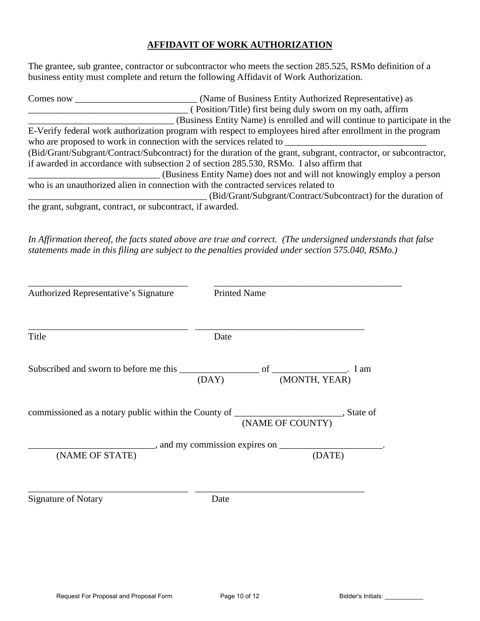## **AFFIDAVIT OF WORK AUTHORIZATION**

The grantee, sub grantee, contractor or subcontractor who meets the section 285.525, RSMo definition of a business entity must complete and return the following Affidavit of Work Authorization.

| Comes now                                                                                                        | (Name of Business Entity Authorized Representative) as                                                      |  |  |  |
|------------------------------------------------------------------------------------------------------------------|-------------------------------------------------------------------------------------------------------------|--|--|--|
|                                                                                                                  | (Position/Title) first being duly sworn on my oath, affirm                                                  |  |  |  |
|                                                                                                                  | (Business Entity Name) is enrolled and will continue to participate in the                                  |  |  |  |
|                                                                                                                  | E-Verify federal work authorization program with respect to employees hired after enrollment in the program |  |  |  |
|                                                                                                                  | who are proposed to work in connection with the services related to                                         |  |  |  |
| (Bid/Grant/Subgrant/Contract/Subcontract) for the duration of the grant, subgrant, contractor, or subcontractor, |                                                                                                             |  |  |  |
|                                                                                                                  | if awarded in accordance with subsection 2 of section 285.530, RSMo. I also affirm that                     |  |  |  |
|                                                                                                                  | (Business Entity Name) does not and will not knowingly employ a person                                      |  |  |  |
|                                                                                                                  | who is an unauthorized alien in connection with the contracted services related to                          |  |  |  |
|                                                                                                                  | (Bid/Grant/Subgrant/Contract/Subcontract) for the duration of                                               |  |  |  |
|                                                                                                                  | the grant, subgrant, contract, or subcontract, if awarded.                                                  |  |  |  |

*In Affirmation thereof, the facts stated above are true and correct. (The undersigned understands that false statements made in this filing are subject to the penalties provided under section 575.040, RSMo.)* 

| Authorized Representative's Signature | <b>Printed Name</b>                                                                                            |  |  |
|---------------------------------------|----------------------------------------------------------------------------------------------------------------|--|--|
| Title                                 | Date                                                                                                           |  |  |
|                                       |                                                                                                                |  |  |
|                                       | commissioned as a notary public within the County of ___________________________, State of<br>(NAME OF COUNTY) |  |  |
|                                       |                                                                                                                |  |  |
| (NAME OF STATE)                       | (DATE)                                                                                                         |  |  |
| <b>Signature of Notary</b>            | Date                                                                                                           |  |  |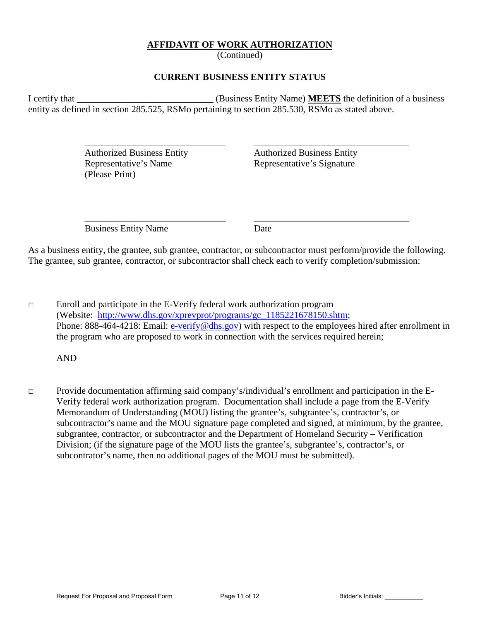## **AFFIDAVIT OF WORK AUTHORIZATION**

(Continued)

## **CURRENT BUSINESS ENTITY STATUS**

I certify that **I** certify that **I** certify that **I** certify that **I** certify that **I** certify that **I** certify that **I** certify that **I** certify that **I** certify that **I** certify that **I** certify that **I** certify that **I** entity as defined in section 285.525, RSMo pertaining to section 285.530, RSMo as stated above.

 $\overline{\phantom{a}}$  ,  $\overline{\phantom{a}}$  ,  $\overline{\phantom{a}}$  ,  $\overline{\phantom{a}}$  ,  $\overline{\phantom{a}}$  ,  $\overline{\phantom{a}}$  ,  $\overline{\phantom{a}}$  ,  $\overline{\phantom{a}}$  ,  $\overline{\phantom{a}}$  ,  $\overline{\phantom{a}}$  ,  $\overline{\phantom{a}}$  ,  $\overline{\phantom{a}}$  ,  $\overline{\phantom{a}}$  ,  $\overline{\phantom{a}}$  ,  $\overline{\phantom{a}}$  ,  $\overline{\phantom{a}}$ 

 Authorized Business Entity Authorized Business Entity Representative's Name Representative's Signature (Please Print)

Business Entity Name Date

 $\overline{\phantom{a}}$  ,  $\overline{\phantom{a}}$  ,  $\overline{\phantom{a}}$  ,  $\overline{\phantom{a}}$  ,  $\overline{\phantom{a}}$  ,  $\overline{\phantom{a}}$  ,  $\overline{\phantom{a}}$  ,  $\overline{\phantom{a}}$  ,  $\overline{\phantom{a}}$  ,  $\overline{\phantom{a}}$  ,  $\overline{\phantom{a}}$  ,  $\overline{\phantom{a}}$  ,  $\overline{\phantom{a}}$  ,  $\overline{\phantom{a}}$  ,  $\overline{\phantom{a}}$  ,  $\overline{\phantom{a}}$ 

As a business entity, the grantee, sub grantee, contractor, or subcontractor must perform/provide the following. The grantee, sub grantee, contractor, or subcontractor shall check each to verify completion/submission:

 $\Box$  Enroll and participate in the E-Verify federal work authorization program (Website: [http://www.dhs.gov/xprevprot/programs/gc\\_1185221678150.shtm;](http://www.dhs.gov/xprevprot/programs/gc_1185221678150.shtm) Phone: 888-464-4218: Email: [e-verify@dhs.gov\)](mailto:e-verify@dhs.gov) with respect to the employees hired after enrollment in the program who are proposed to work in connection with the services required herein;

AND

□ Provide documentation affirming said company's/individual's enrollment and participation in the E-Verify federal work authorization program. Documentation shall include a page from the E-Verify Memorandum of Understanding (MOU) listing the grantee's, subgrantee's, contractor's, or subcontractor's name and the MOU signature page completed and signed, at minimum, by the grantee, subgrantee, contractor, or subcontractor and the Department of Homeland Security – Verification Division; (if the signature page of the MOU lists the grantee's, subgrantee's, contractor's, or subcontrator's name, then no additional pages of the MOU must be submitted).